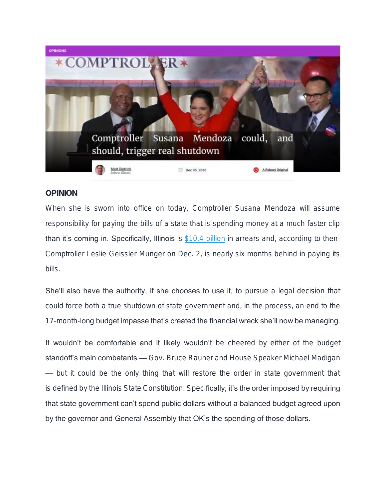

## OPINION

When she is sworn into office on today, Comptroller Susana Mendoza will assume responsibility for paying the bills of a state that is spending money at a much faster clip than it's coming in. Specifically, Illinois is [\\$10.4 billion](http://ledger.illinoiscomptroller.com/) in arrears and, according to then-Comptroller Leslie Geissler Munger on Dec. 2, is nearly six months behind in paying its bills.

She'll also have the authority, if she chooses to use it, to pursue a legal decision that could force both a true shutdown of state government and, in the process, an end to the 17-month-long budget impasse that's created the financial wreck she'll now be managing.

It wouldn't be comfortable and it likely wouldn't be cheered by either of the budget standoff's main combatants — Gov. Bruce Rauner and House Speaker Michael Madigan — but it could be the only thing that will restore the order in state government that is defined by the Illinois State Constitution. Specifically, it's the order imposed by requiring that state government can't spend public dollars without a balanced budget agreed upon by the governor and General Assembly that OK's the spending of those dollars.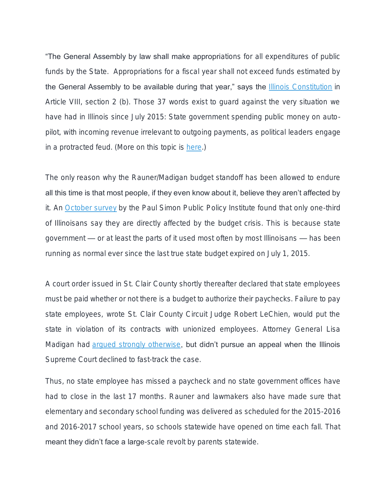**"The General Assembly by law shall make appropriations for all expenditures of public** funds by the State. Appropriations for a fiscal year shall not exceed funds estimated by the General Assembly to be available during that year," says the [Illinois Constitution](http://www.ilga.gov/commission/lrb/con8.htm) in Article VIII, section 2 (b). Those 37 words exist to guard against the very situation we have had in Illinois since July 2015: State government spending public money on autopilot, with incoming revenue irrelevant to outgoing payments, as political leaders engage in a protracted feud. (More on this topic is [here.](http://rebootillinois.com/2015/07/15/illinois-constitution-exists-to-impose-order-not-for-political-convenience/40965/))

The only reason why the Rauner/Madigan budget standoff has been allowed to endure all this time is that most people, if they even know about it, believe they aren't affected by it. An [October survey](http://paulsimoninstitute.siu.edu/_common/documents/opinion-polling/simon-institute-poll/2016/oct-12-psppi-simon-poll-illinois-budget-crisis.pdf) by the Paul Simon Public Policy Institute found that only one-third of Illinoisans say they are directly affected by the budget crisis. This is because state government — or at least the parts of it used most often by most Illinoisans — has been running as normal ever since the last true state budget expired on July 1, 2015.

A court order issued in St. Clair County shortly thereafter declared that state employees must be paid whether or not there is a budget to authorize their paychecks. Failure to pay state employees, wrote St. Clair County Circuit Judge Robert LeChien, would put the state in violation of its contracts with unionized employees. Attorney General Lisa Madigan had [argued strongly otherwise,](http://www.illinoisattorneygeneral.gov/pressroom/2015_07/20150707b.html) but didn't pursue an appeal when the Illinois Supreme Court declined to fast-track the case.

Thus, no state employee has missed a paycheck and no state government offices have had to close in the last 17 months. Rauner and lawmakers also have made sure that elementary and secondary school funding was delivered as scheduled for the 2015-2016 and 2016-2017 school years, so schools statewide have opened on time each fall. That meant they didn't face a large-scale revolt by parents statewide.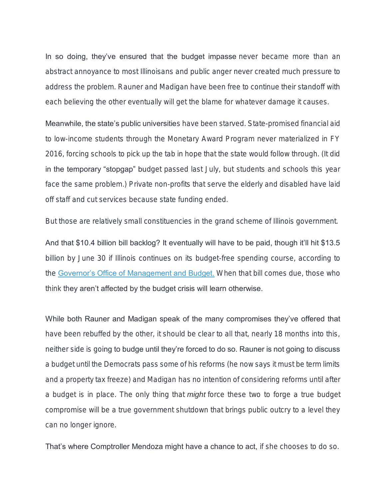In so doing, they've ensured that the budget impasse never became more than an abstract annoyance to most Illinoisans and public anger never created much pressure to address the problem. Rauner and Madigan have been free to continue their standoff with each believing the other eventually will get the blame for whatever damage it causes.

Meanwhile, the state's public universities have been starved. State-promised financial aid to low-income students through the Monetary Award Program never materialized in FY 2016, forcing schools to pick up the tab in hope that the state would follow through. (It did in the temporary "stopgap" budget passed last July, but students and schools this year face the same problem.) Private non-profits that serve the elderly and disabled have laid off staff and cut services because state funding ended.

But those are relatively small constituencies in the grand scheme of Illinois government.

And that \$10.4 billion bill backlog? It eventually will have to be paid, though it'll hit \$13.5 billion by June 30 if Illinois continues on its budget-free spending course, according to the [Governor's Office of Management and Budget.](https://www.illinois.gov/gov/budget/Documents/Economic%20and%20Fiscal%20Policy%20Reports/FY%202016/Economic%20and%20Fiscal%20Policy%20Report%202018-2022%2011.15.16.pdf) When that bill comes due, those who think they aren't affected by the budget crisis will learn otherwise.

While both Rauner and Madigan speak of the many compromises they've offered that have been rebuffed by the other, it should be clear to all that, nearly 18 months into this, neither side is going to budge until they're forced to do so. Rauner is not going to discuss a budget until the Democrats pass some of his reforms (he now says it must be term limits and a property tax freeze) and Madigan has no intention of considering reforms until after a budget is in place. The only thing that *might* force these two to forge a true budget compromise will be a true government shutdown that brings public outcry to a level they can no longer ignore.

That's where Comptroller Mendoza might have a chance to act, if she chooses to do so.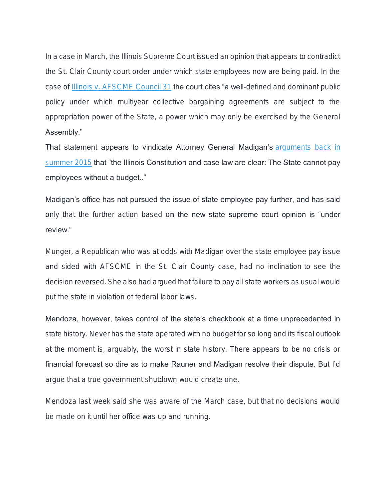In a case in March, the Illinois Supreme Court issued an opinion that appears to contradict the St. Clair County court order under which state employees now are being paid. In the case of [Illinois v. AFSCME Council 31](http://reboot.rebootillinois.netdna-cdn.com/wp-content/uploads/2016/04/afscme-il-sup-ct-3-24-16.pdf) the court cites "a well-defined and dominant public policy under which multiyear collective bargaining agreements are subject to the appropriation power of the State, a power which may only be exercised by the General Assembly."

That statement appears to vindicate Attorney General Madigan's **arguments** back in [summer 2015](http://www.illinoisattorneygeneral.gov/pressroom/2015_07/20150707b.html) that "the Illinois Constitution and case law are clear: The State cannot pay employees without a budget.."

Madigan's office has not pursued the issue of state employee pay further, and has said only that the further action based on the new state supreme court opinion is "under review."

Munger, a Republican who was at odds with Madigan over the state employee pay issue and sided with AFSCME in the St. Clair County case, had no inclination to see the decision reversed. She also had argued that failure to pay all state workers as usual would put the state in violation of federal labor laws.

Mendoza, however, takes control of the state's checkbook at a time unprecedented in state history. Never has the state operated with no budget for so long and its fiscal outlook at the moment is, arguably, the worst in state history. There appears to be no crisis or financial forecast so dire as to make Rauner and Madigan resolve their dispute. But I'd argue that a true government shutdown would create one.

Mendoza last week said she was aware of the March case, but that no decisions would be made on it until her office was up and running.